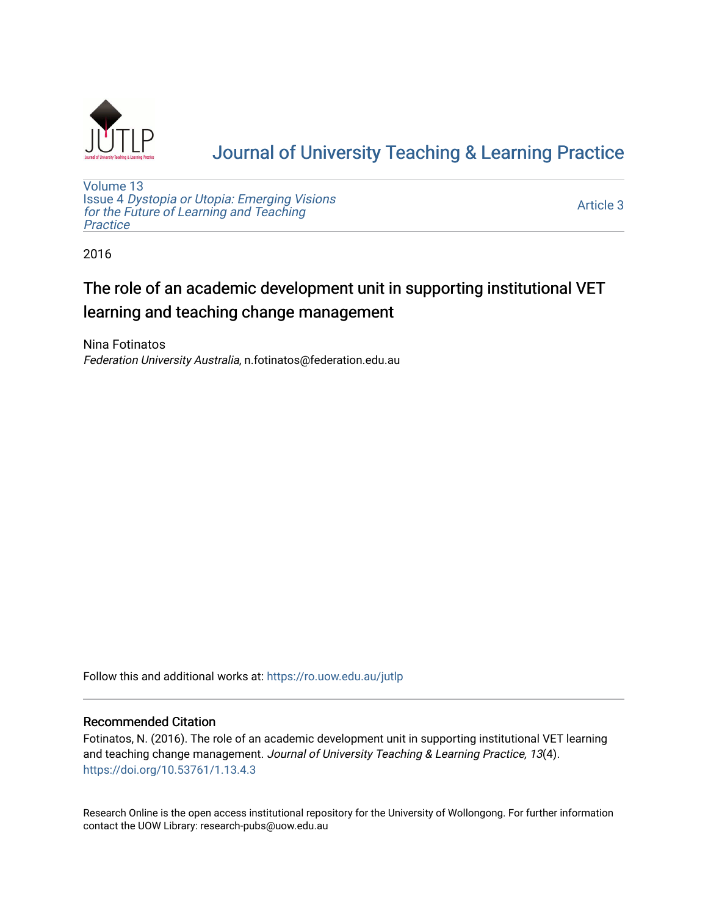

# [Journal of University Teaching & Learning Practice](https://ro.uow.edu.au/jutlp)

[Volume 13](https://ro.uow.edu.au/jutlp/vol13) Issue 4 [Dystopia or Utopia: Emerging Visions](https://ro.uow.edu.au/jutlp/vol13/iss4) [for the Future of Learning and Teaching](https://ro.uow.edu.au/jutlp/vol13/iss4) **Practice** 

[Article 3](https://ro.uow.edu.au/jutlp/vol13/iss4/3) 

2016

# The role of an academic development unit in supporting institutional VET learning and teaching change management

Nina Fotinatos Federation University Australia, n.fotinatos@federation.edu.au

Follow this and additional works at: [https://ro.uow.edu.au/jutlp](https://ro.uow.edu.au/jutlp?utm_source=ro.uow.edu.au%2Fjutlp%2Fvol13%2Fiss4%2F3&utm_medium=PDF&utm_campaign=PDFCoverPages) 

## Recommended Citation

Fotinatos, N. (2016). The role of an academic development unit in supporting institutional VET learning and teaching change management. Journal of University Teaching & Learning Practice, 13(4). <https://doi.org/10.53761/1.13.4.3>

Research Online is the open access institutional repository for the University of Wollongong. For further information contact the UOW Library: research-pubs@uow.edu.au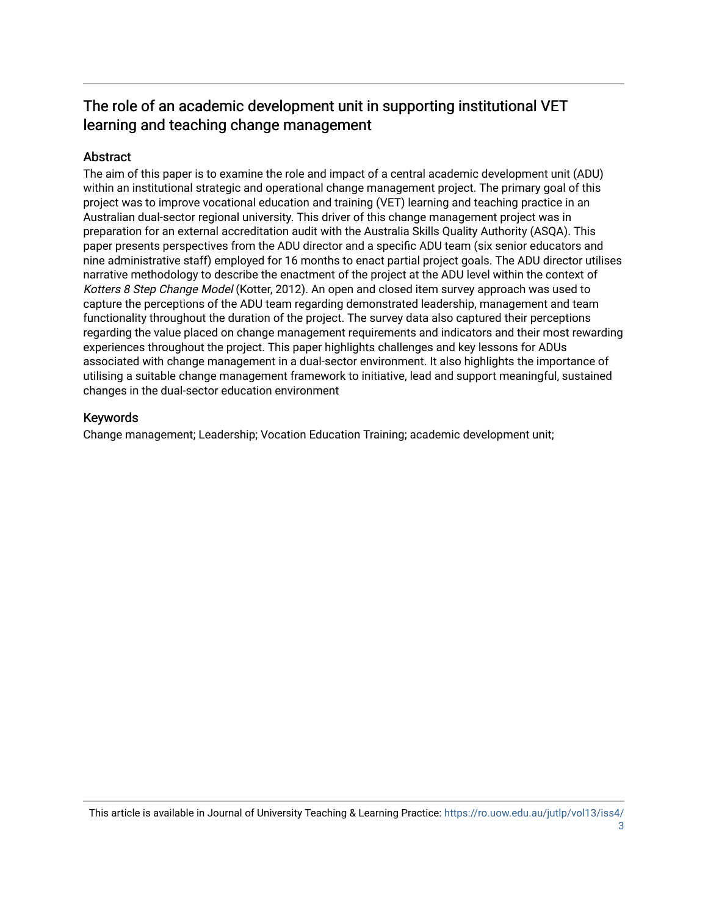## The role of an academic development unit in supporting institutional VET learning and teaching change management

## Abstract

The aim of this paper is to examine the role and impact of a central academic development unit (ADU) within an institutional strategic and operational change management project. The primary goal of this project was to improve vocational education and training (VET) learning and teaching practice in an Australian dual-sector regional university. This driver of this change management project was in preparation for an external accreditation audit with the Australia Skills Quality Authority (ASQA). This paper presents perspectives from the ADU director and a specific ADU team (six senior educators and nine administrative staff) employed for 16 months to enact partial project goals. The ADU director utilises narrative methodology to describe the enactment of the project at the ADU level within the context of Kotters 8 Step Change Model (Kotter, 2012). An open and closed item survey approach was used to capture the perceptions of the ADU team regarding demonstrated leadership, management and team functionality throughout the duration of the project. The survey data also captured their perceptions regarding the value placed on change management requirements and indicators and their most rewarding experiences throughout the project. This paper highlights challenges and key lessons for ADUs associated with change management in a dual-sector environment. It also highlights the importance of utilising a suitable change management framework to initiative, lead and support meaningful, sustained changes in the dual-sector education environment

## Keywords

Change management; Leadership; Vocation Education Training; academic development unit;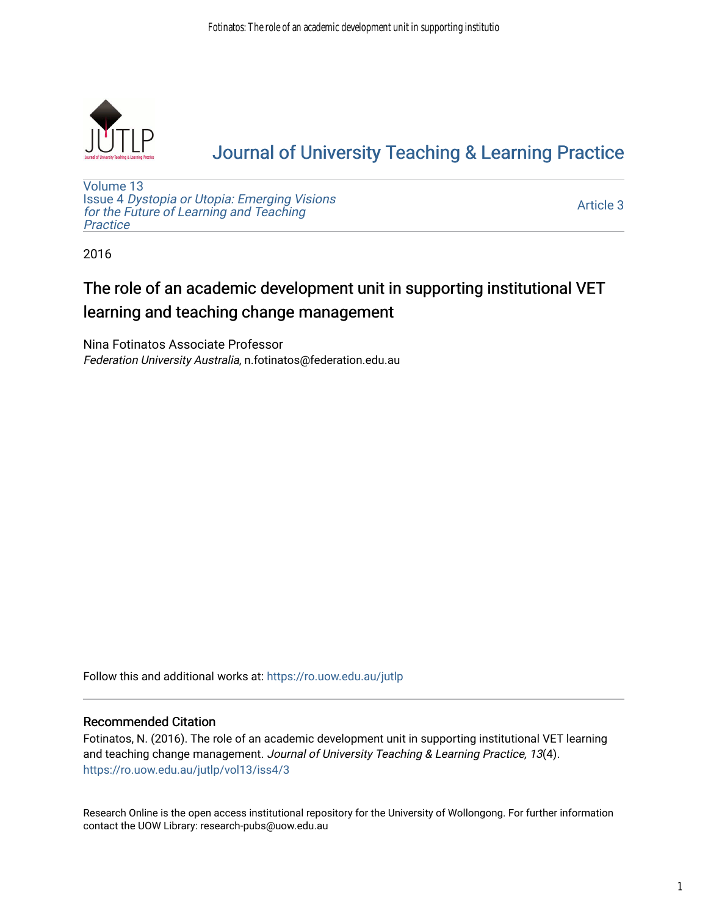

# [Journal of University Teaching & Learning Practice](https://ro.uow.edu.au/jutlp)

[Volume 13](https://ro.uow.edu.au/jutlp/vol13) Issue 4 [Dystopia or Utopia: Emerging Visions](https://ro.uow.edu.au/jutlp/vol13/iss4) [for the Future of Learning and Teaching](https://ro.uow.edu.au/jutlp/vol13/iss4) **Practice** 

[Article 3](https://ro.uow.edu.au/jutlp/vol13/iss4/3) 

2016

# The role of an academic development unit in supporting institutional VET learning and teaching change management

Nina Fotinatos Associate Professor Federation University Australia, n.fotinatos@federation.edu.au

Follow this and additional works at: [https://ro.uow.edu.au/jutlp](https://ro.uow.edu.au/jutlp?utm_source=ro.uow.edu.au%2Fjutlp%2Fvol13%2Fiss4%2F3&utm_medium=PDF&utm_campaign=PDFCoverPages) 

## Recommended Citation

Fotinatos, N. (2016). The role of an academic development unit in supporting institutional VET learning and teaching change management. Journal of University Teaching & Learning Practice, 13(4). [https://ro.uow.edu.au/jutlp/vol13/iss4/3](https://ro.uow.edu.au/jutlp/vol13/iss4/3?utm_source=ro.uow.edu.au%2Fjutlp%2Fvol13%2Fiss4%2F3&utm_medium=PDF&utm_campaign=PDFCoverPages) 

Research Online is the open access institutional repository for the University of Wollongong. For further information contact the UOW Library: research-pubs@uow.edu.au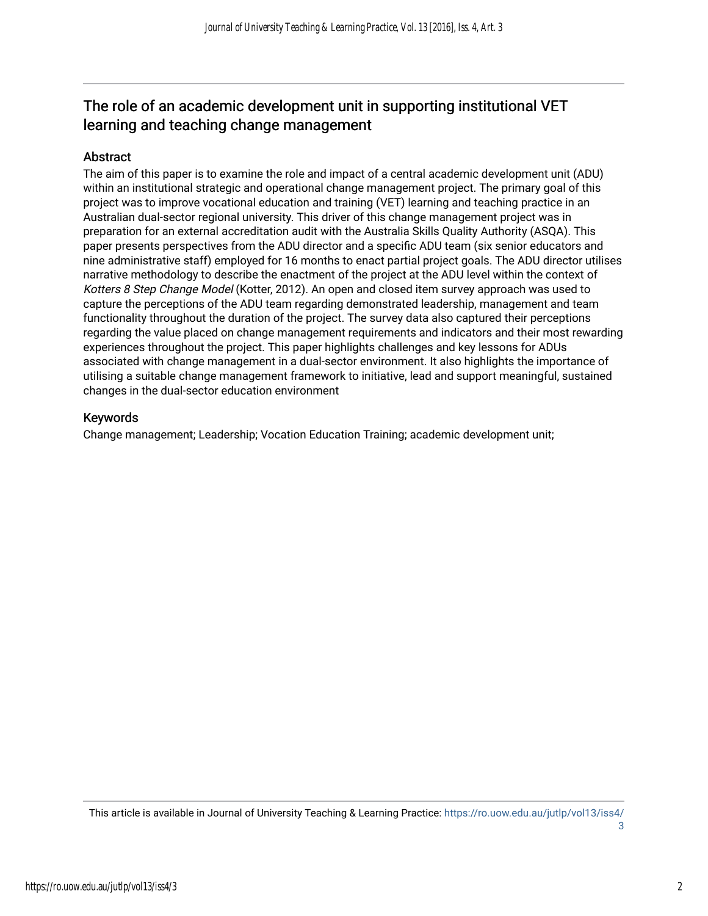## The role of an academic development unit in supporting institutional VET learning and teaching change management

## **Abstract**

The aim of this paper is to examine the role and impact of a central academic development unit (ADU) within an institutional strategic and operational change management project. The primary goal of this project was to improve vocational education and training (VET) learning and teaching practice in an Australian dual-sector regional university. This driver of this change management project was in preparation for an external accreditation audit with the Australia Skills Quality Authority (ASQA). This paper presents perspectives from the ADU director and a specific ADU team (six senior educators and nine administrative staff) employed for 16 months to enact partial project goals. The ADU director utilises narrative methodology to describe the enactment of the project at the ADU level within the context of Kotters 8 Step Change Model (Kotter, 2012). An open and closed item survey approach was used to capture the perceptions of the ADU team regarding demonstrated leadership, management and team functionality throughout the duration of the project. The survey data also captured their perceptions regarding the value placed on change management requirements and indicators and their most rewarding experiences throughout the project. This paper highlights challenges and key lessons for ADUs associated with change management in a dual-sector environment. It also highlights the importance of utilising a suitable change management framework to initiative, lead and support meaningful, sustained changes in the dual-sector education environment

## Keywords

Change management; Leadership; Vocation Education Training; academic development unit;

This article is available in Journal of University Teaching & Learning Practice: [https://ro.uow.edu.au/jutlp/vol13/iss4/](https://ro.uow.edu.au/jutlp/vol13/iss4/3) [3](https://ro.uow.edu.au/jutlp/vol13/iss4/3)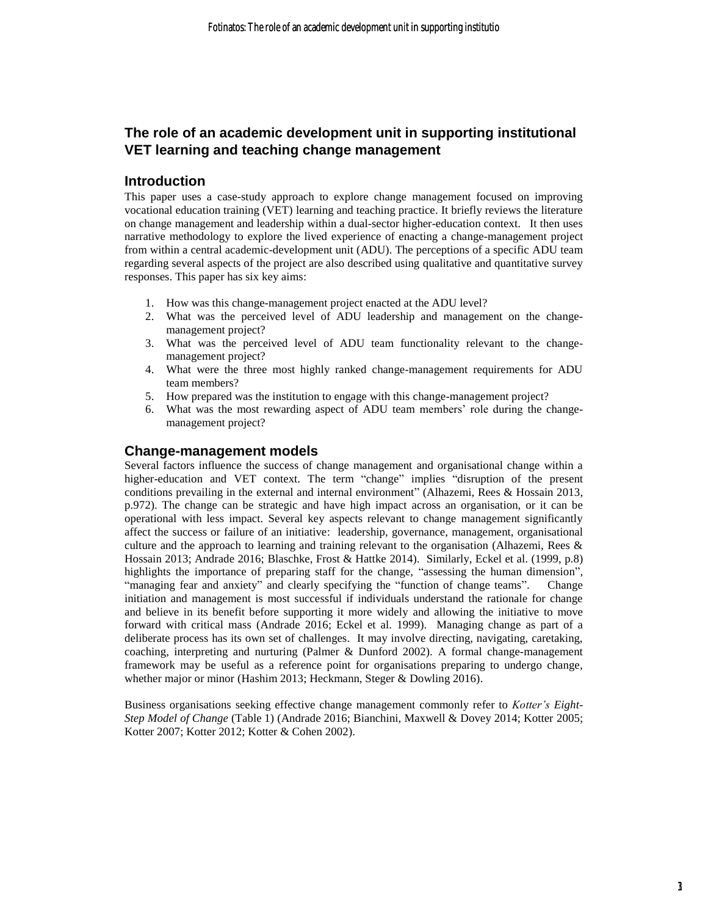## **The role of an academic development unit in supporting institutional VET learning and teaching change management**

## **Introduction**

This paper uses a case-study approach to explore change management focused on improving vocational education training (VET) learning and teaching practice. It briefly reviews the literature on change management and leadership within a dual-sector higher-education context. It then uses narrative methodology to explore the lived experience of enacting a change-management project from within a central academic-development unit (ADU). The perceptions of a specific ADU team regarding several aspects of the project are also described using qualitative and quantitative survey responses. This paper has six key aims:

- 1. How was this change-management project enacted at the ADU level?
- 2. What was the perceived level of ADU leadership and management on the changemanagement project?
- 3. What was the perceived level of ADU team functionality relevant to the changemanagement project?
- 4. What were the three most highly ranked change-management requirements for ADU team members?
- 5. How prepared was the institution to engage with this change-management project?
- 6. What was the most rewarding aspect of ADU team members' role during the changemanagement project?

## **Change-management models**

Several factors influence the success of change management and organisational change within a higher-education and VET context. The term "change" implies "disruption of the present conditions prevailing in the external and internal environment" (Alhazemi, Rees & Hossain 2013, p.972). The change can be strategic and have high impact across an organisation, or it can be operational with less impact. Several key aspects relevant to change management significantly affect the success or failure of an initiative: leadership, governance, management, organisational culture and the approach to learning and training relevant to the organisation (Alhazemi, Rees & Hossain 2013; Andrade 2016; Blaschke, Frost & Hattke 2014). Similarly, Eckel et al. (1999, p.8) highlights the importance of preparing staff for the change, "assessing the human dimension", "managing fear and anxiety" and clearly specifying the "function of change teams". Change initiation and management is most successful if individuals understand the rationale for change and believe in its benefit before supporting it more widely and allowing the initiative to move forward with critical mass (Andrade 2016; Eckel et al. 1999). Managing change as part of a deliberate process has its own set of challenges. It may involve directing, navigating, caretaking, coaching, interpreting and nurturing (Palmer & Dunford 2002). A formal change-management framework may be useful as a reference point for organisations preparing to undergo change, whether major or minor (Hashim 2013; Heckmann, Steger & Dowling 2016).

Business organisations seeking effective change management commonly refer to *Kotter's Eight-Step Model of Change* (Table 1) (Andrade 2016; Bianchini, Maxwell & Dovey 2014; Kotter 2005; Kotter 2007; Kotter 2012; Kotter & Cohen 2002).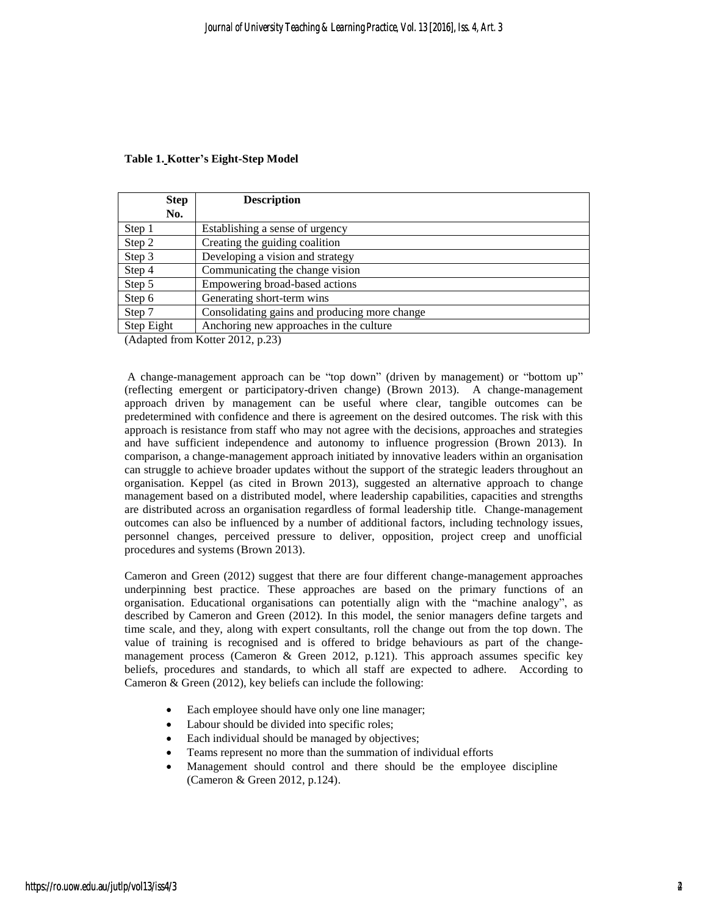| <b>Step</b> | <b>Description</b>                            |
|-------------|-----------------------------------------------|
| No.         |                                               |
| Step 1      | Establishing a sense of urgency               |
| Step 2      | Creating the guiding coalition                |
| Step 3      | Developing a vision and strategy              |
| Step 4      | Communicating the change vision               |
| Step 5      | Empowering broad-based actions                |
| Step 6      | Generating short-term wins                    |
| Step 7      | Consolidating gains and producing more change |
| Step Eight  | Anchoring new approaches in the culture       |

#### **Table 1. Kotter's Eight-Step Model**

(Adapted from Kotter 2012, p.23)

A change-management approach can be "top down" (driven by management) or "bottom up" (reflecting emergent or participatory-driven change) (Brown 2013). A change-management approach driven by management can be useful where clear, tangible outcomes can be predetermined with confidence and there is agreement on the desired outcomes. The risk with this approach is resistance from staff who may not agree with the decisions, approaches and strategies and have sufficient independence and autonomy to influence progression (Brown 2013). In comparison, a change-management approach initiated by innovative leaders within an organisation can struggle to achieve broader updates without the support of the strategic leaders throughout an organisation. Keppel (as cited in Brown 2013), suggested an alternative approach to change management based on a distributed model, where leadership capabilities, capacities and strengths are distributed across an organisation regardless of formal leadership title. Change-management outcomes can also be influenced by a number of additional factors, including technology issues, personnel changes, perceived pressure to deliver, opposition, project creep and unofficial procedures and systems (Brown 2013).

Cameron and Green (2012) suggest that there are four different change-management approaches underpinning best practice. These approaches are based on the primary functions of an organisation. Educational organisations can potentially align with the "machine analogy", as described by Cameron and Green (2012). In this model, the senior managers define targets and time scale, and they, along with expert consultants, roll the change out from the top down. The value of training is recognised and is offered to bridge behaviours as part of the changemanagement process (Cameron & Green 2012, p.121). This approach assumes specific key beliefs, procedures and standards, to which all staff are expected to adhere. According to Cameron & Green (2012), key beliefs can include the following:

- Each employee should have only one line manager;
- Labour should be divided into specific roles;
- Each individual should be managed by objectives;
- Teams represent no more than the summation of individual efforts
- Management should control and there should be the employee discipline (Cameron & Green 2012, p.124).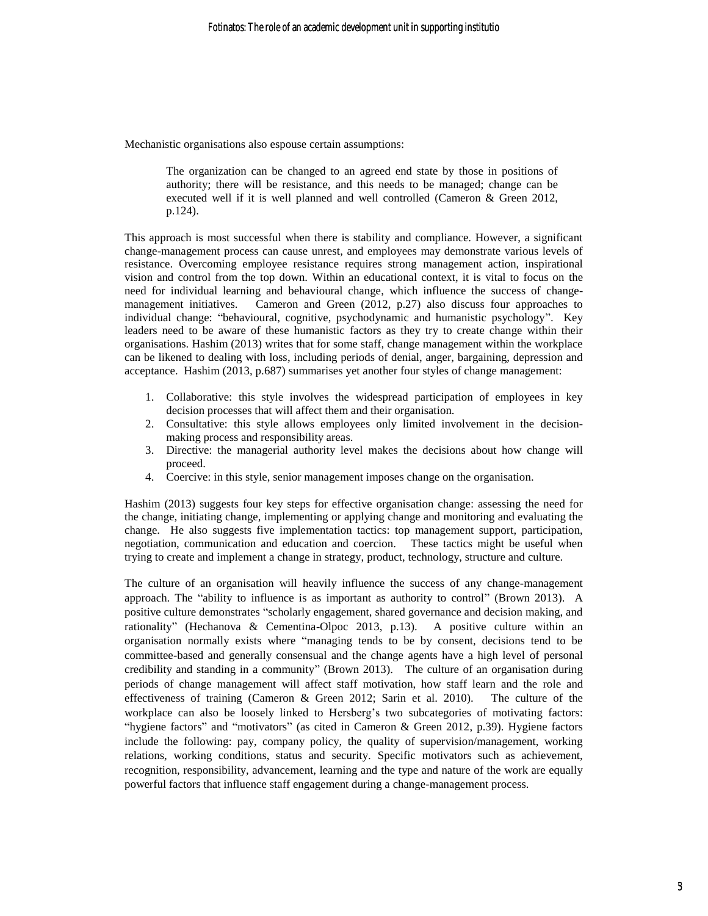Mechanistic organisations also espouse certain assumptions:

The organization can be changed to an agreed end state by those in positions of authority; there will be resistance, and this needs to be managed; change can be executed well if it is well planned and well controlled (Cameron & Green 2012, p.124).

This approach is most successful when there is stability and compliance. However, a significant change-management process can cause unrest, and employees may demonstrate various levels of resistance. Overcoming employee resistance requires strong management action, inspirational vision and control from the top down. Within an educational context, it is vital to focus on the need for individual learning and behavioural change, which influence the success of changemanagement initiatives. Cameron and Green (2012, p.27) also discuss four approaches to individual change: "behavioural, cognitive, psychodynamic and humanistic psychology". Key leaders need to be aware of these humanistic factors as they try to create change within their organisations. Hashim (2013) writes that for some staff, change management within the workplace can be likened to dealing with loss, including periods of denial, anger, bargaining, depression and acceptance. Hashim (2013, p.687) summarises yet another four styles of change management:

- 1. Collaborative: this style involves the widespread participation of employees in key decision processes that will affect them and their organisation.
- 2. Consultative: this style allows employees only limited involvement in the decisionmaking process and responsibility areas.
- 3. Directive: the managerial authority level makes the decisions about how change will proceed.
- 4. Coercive: in this style, senior management imposes change on the organisation.

Hashim (2013) suggests four key steps for effective organisation change: assessing the need for the change, initiating change, implementing or applying change and monitoring and evaluating the change. He also suggests five implementation tactics: top management support, participation, negotiation, communication and education and coercion. These tactics might be useful when trying to create and implement a change in strategy, product, technology, structure and culture.

The culture of an organisation will heavily influence the success of any change-management approach. The "ability to influence is as important as authority to control" (Brown 2013). A positive culture demonstrates "scholarly engagement, shared governance and decision making, and rationality" (Hechanova & Cementina-Olpoc 2013, p.13). A positive culture within an organisation normally exists where "managing tends to be by consent, decisions tend to be committee-based and generally consensual and the change agents have a high level of personal credibility and standing in a community" (Brown 2013). The culture of an organisation during periods of change management will affect staff motivation, how staff learn and the role and effectiveness of training (Cameron & Green 2012; Sarin et al. 2010). The culture of the workplace can also be loosely linked to Hersberg's two subcategories of motivating factors: "hygiene factors" and "motivators" (as cited in Cameron & Green 2012, p.39). Hygiene factors include the following: pay, company policy, the quality of supervision/management, working relations, working conditions, status and security. Specific motivators such as achievement, recognition, responsibility, advancement, learning and the type and nature of the work are equally powerful factors that influence staff engagement during a change-management process.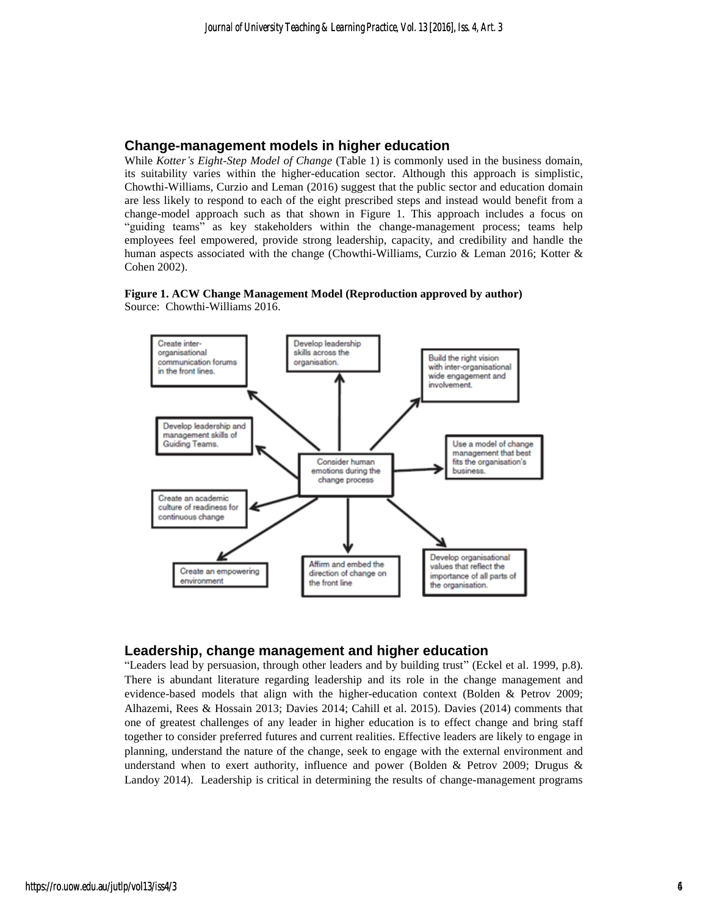## **Change-management models in higher education**

While *Kotter's Eight-Step Model of Change* (Table 1) is commonly used in the business domain, its suitability varies within the higher-education sector. Although this approach is simplistic, Chowthi-Williams, Curzio and Leman (2016) suggest that the public sector and education domain are less likely to respond to each of the eight prescribed steps and instead would benefit from a change-model approach such as that shown in Figure 1. This approach includes a focus on "guiding teams" as key stakeholders within the change-management process; teams help employees feel empowered, provide strong leadership, capacity, and credibility and handle the human aspects associated with the change (Chowthi-Williams, Curzio & Leman 2016; Kotter & Cohen 2002).





## **Leadership, change management and higher education**

"Leaders lead by persuasion, through other leaders and by building trust" (Eckel et al. 1999, p.8). There is abundant literature regarding leadership and its role in the change management and evidence-based models that align with the higher-education context (Bolden & Petrov 2009; Alhazemi, Rees & Hossain 2013; Davies 2014; Cahill et al. 2015). Davies (2014) comments that one of greatest challenges of any leader in higher education is to effect change and bring staff together to consider preferred futures and current realities. Effective leaders are likely to engage in planning, understand the nature of the change, seek to engage with the external environment and understand when to exert authority, influence and power (Bolden & Petrov 2009; Drugus & Landoy 2014). Leadership is critical in determining the results of change-management programs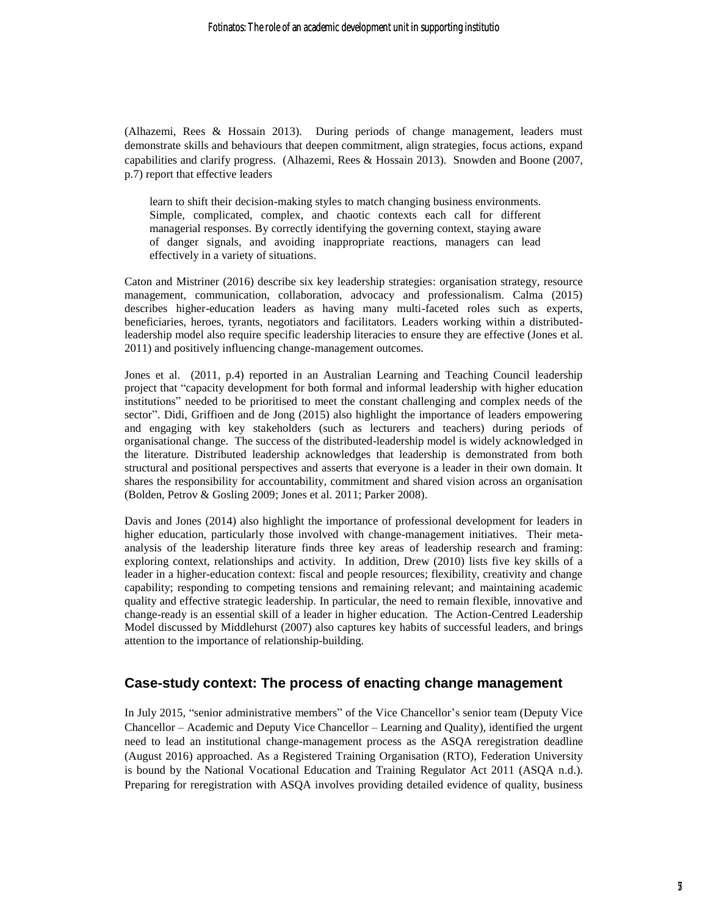(Alhazemi, Rees & Hossain 2013). During periods of change management, leaders must demonstrate skills and behaviours that deepen commitment, align strategies, focus actions, expand capabilities and clarify progress. (Alhazemi, Rees & Hossain 2013). Snowden and Boone (2007, p.7) report that effective leaders

learn to shift their decision-making styles to match changing business environments. Simple, complicated, complex, and chaotic contexts each call for different managerial responses. By correctly identifying the governing context, staying aware of danger signals, and avoiding inappropriate reactions, managers can lead effectively in a variety of situations.

Caton and Mistriner (2016) describe six key leadership strategies: organisation strategy, resource management, communication, collaboration, advocacy and professionalism. Calma (2015) describes higher-education leaders as having many multi-faceted roles such as experts, beneficiaries, heroes, tyrants, negotiators and facilitators. Leaders working within a distributedleadership model also require specific leadership literacies to ensure they are effective (Jones et al. 2011) and positively influencing change-management outcomes.

Jones et al. (2011, p.4) reported in an Australian Learning and Teaching Council leadership project that "capacity development for both formal and informal leadership with higher education institutions" needed to be prioritised to meet the constant challenging and complex needs of the sector". Didi, Griffioen and de Jong (2015) also highlight the importance of leaders empowering and engaging with key stakeholders (such as lecturers and teachers) during periods of organisational change. The success of the distributed-leadership model is widely acknowledged in the literature. Distributed leadership acknowledges that leadership is demonstrated from both structural and positional perspectives and asserts that everyone is a leader in their own domain. It shares the responsibility for accountability, commitment and shared vision across an organisation (Bolden, Petrov & Gosling 2009; Jones et al. 2011; Parker 2008).

Davis and Jones (2014) also highlight the importance of professional development for leaders in higher education, particularly those involved with change-management initiatives. Their metaanalysis of the leadership literature finds three key areas of leadership research and framing: exploring context, relationships and activity. In addition, Drew (2010) lists five key skills of a leader in a higher-education context: fiscal and people resources; flexibility, creativity and change capability; responding to competing tensions and remaining relevant; and maintaining academic quality and effective strategic leadership. In particular, the need to remain flexible, innovative and change-ready is an essential skill of a leader in higher education. The Action-Centred Leadership Model discussed by Middlehurst (2007) also captures key habits of successful leaders, and brings attention to the importance of relationship-building.

## **Case-study context: The process of enacting change management**

In July 2015, "senior administrative members" of the Vice Chancellor's senior team (Deputy Vice Chancellor – Academic and Deputy Vice Chancellor – Learning and Quality), identified the urgent need to lead an institutional change-management process as the ASQA reregistration deadline (August 2016) approached. As a Registered Training Organisation (RTO), Federation University is bound by the National Vocational Education and Training Regulator Act 2011 (ASQA n.d.). Preparing for reregistration with ASQA involves providing detailed evidence of quality, business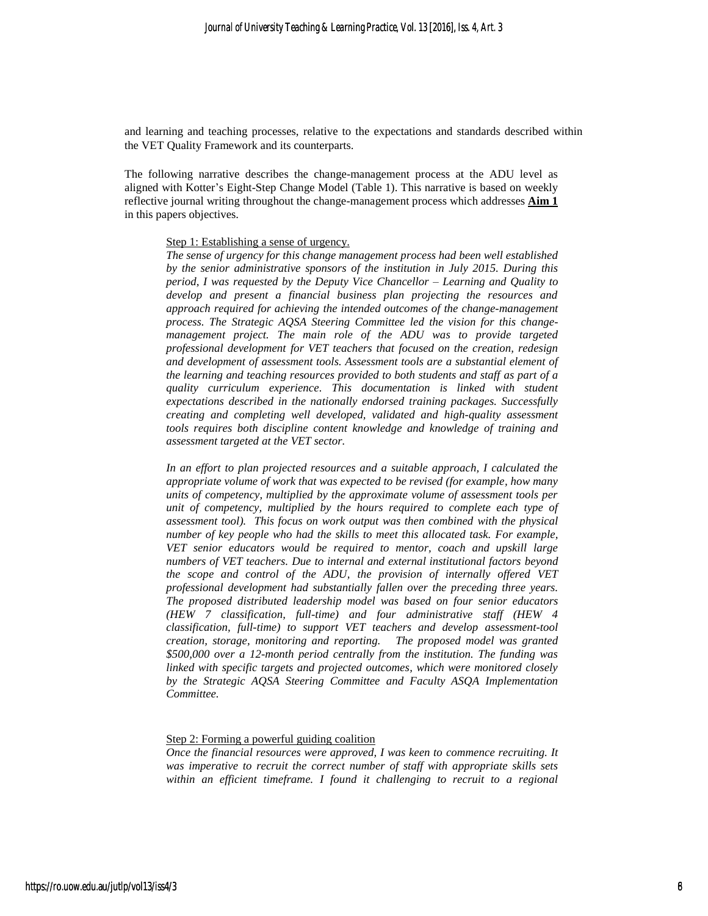and learning and teaching processes, relative to the expectations and standards described within the VET Quality Framework and its counterparts.

The following narrative describes the change-management process at the ADU level as aligned with Kotter's Eight-Step Change Model (Table 1). This narrative is based on weekly reflective journal writing throughout the change-management process which addresses **Aim 1** in this papers objectives.

#### Step 1: Establishing a sense of urgency.

*The sense of urgency for this change management process had been well established by the senior administrative sponsors of the institution in July 2015. During this period, I was requested by the Deputy Vice Chancellor – Learning and Quality to develop and present a financial business plan projecting the resources and approach required for achieving the intended outcomes of the change-management process. The Strategic AQSA Steering Committee led the vision for this changemanagement project. The main role of the ADU was to provide targeted professional development for VET teachers that focused on the creation, redesign and development of assessment tools. Assessment tools are a substantial element of the learning and teaching resources provided to both students and staff as part of a quality curriculum experience. This documentation is linked with student expectations described in the nationally endorsed training packages. Successfully creating and completing well developed, validated and high-quality assessment tools requires both discipline content knowledge and knowledge of training and assessment targeted at the VET sector.*

*In an effort to plan projected resources and a suitable approach, I calculated the appropriate volume of work that was expected to be revised (for example, how many units of competency, multiplied by the approximate volume of assessment tools per unit of competency, multiplied by the hours required to complete each type of assessment tool). This focus on work output was then combined with the physical number of key people who had the skills to meet this allocated task. For example, VET senior educators would be required to mentor, coach and upskill large numbers of VET teachers. Due to internal and external institutional factors beyond the scope and control of the ADU, the provision of internally offered VET professional development had substantially fallen over the preceding three years. The proposed distributed leadership model was based on four senior educators (HEW 7 classification, full-time) and four administrative staff (HEW 4 classification, full-time) to support VET teachers and develop assessment-tool creation, storage, monitoring and reporting. The proposed model was granted \$500,000 over a 12-month period centrally from the institution. The funding was linked with specific targets and projected outcomes, which were monitored closely by the Strategic AQSA Steering Committee and Faculty ASQA Implementation Committee.*

#### Step 2: Forming a powerful guiding coalition

*Once the financial resources were approved, I was keen to commence recruiting. It was imperative to recruit the correct number of staff with appropriate skills sets within an efficient timeframe. I found it challenging to recruit to a regional*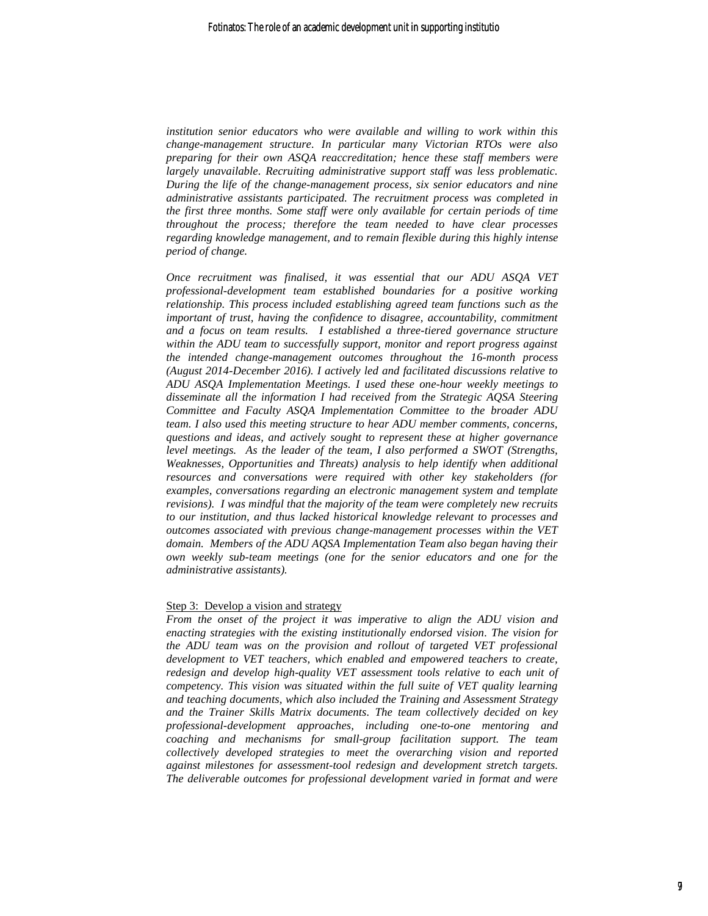*institution senior educators who were available and willing to work within this change-management structure. In particular many Victorian RTOs were also preparing for their own ASQA reaccreditation; hence these staff members were largely unavailable. Recruiting administrative support staff was less problematic. During the life of the change-management process, six senior educators and nine administrative assistants participated. The recruitment process was completed in the first three months. Some staff were only available for certain periods of time throughout the process; therefore the team needed to have clear processes regarding knowledge management, and to remain flexible during this highly intense period of change.* 

*Once recruitment was finalised, it was essential that our ADU ASQA VET professional-development team established boundaries for a positive working relationship. This process included establishing agreed team functions such as the important of trust, having the confidence to disagree, accountability, commitment and a focus on team results. I established a three-tiered governance structure within the ADU team to successfully support, monitor and report progress against the intended change-management outcomes throughout the 16-month process (August 2014-December 2016). I actively led and facilitated discussions relative to ADU ASQA Implementation Meetings. I used these one-hour weekly meetings to disseminate all the information I had received from the Strategic AQSA Steering Committee and Faculty ASQA Implementation Committee to the broader ADU team. I also used this meeting structure to hear ADU member comments, concerns, questions and ideas, and actively sought to represent these at higher governance level meetings. As the leader of the team, I also performed a SWOT (Strengths, Weaknesses, Opportunities and Threats) analysis to help identify when additional resources and conversations were required with other key stakeholders (for examples, conversations regarding an electronic management system and template revisions). I was mindful that the majority of the team were completely new recruits to our institution, and thus lacked historical knowledge relevant to processes and outcomes associated with previous change-management processes within the VET domain. Members of the ADU AQSA Implementation Team also began having their own weekly sub-team meetings (one for the senior educators and one for the administrative assistants).* 

#### Step 3: Develop a vision and strategy

*From the onset of the project it was imperative to align the ADU vision and enacting strategies with the existing institutionally endorsed vision. The vision for the ADU team was on the provision and rollout of targeted VET professional development to VET teachers, which enabled and empowered teachers to create, redesign and develop high-quality VET assessment tools relative to each unit of competency. This vision was situated within the full suite of VET quality learning and teaching documents, which also included the Training and Assessment Strategy and the Trainer Skills Matrix documents. The team collectively decided on key professional-development approaches, including one-to-one mentoring and coaching and mechanisms for small-group facilitation support. The team collectively developed strategies to meet the overarching vision and reported against milestones for assessment-tool redesign and development stretch targets. The deliverable outcomes for professional development varied in format and were*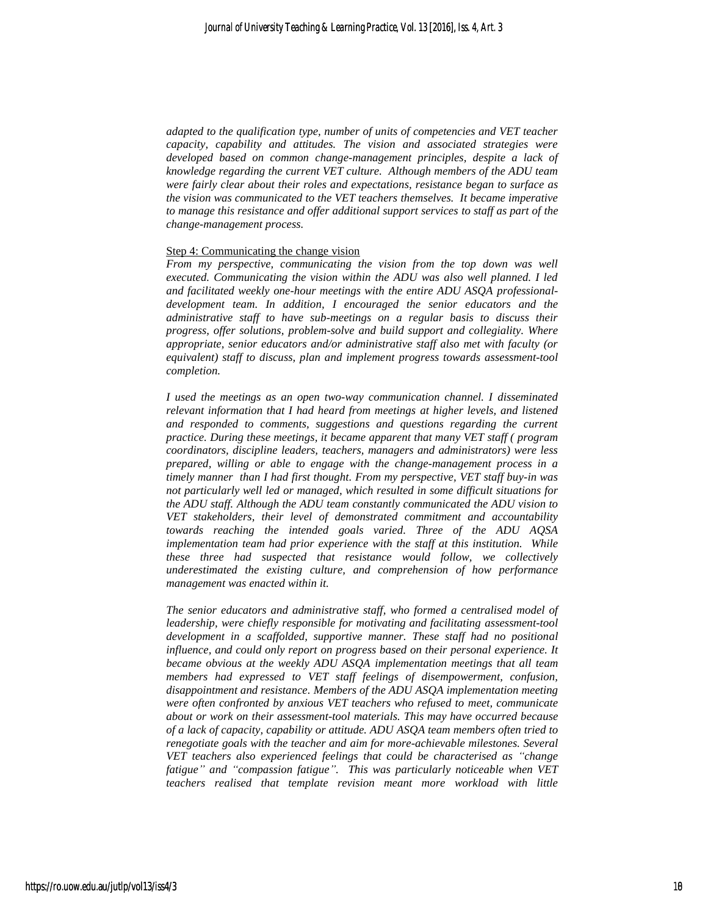*adapted to the qualification type, number of units of competencies and VET teacher capacity, capability and attitudes. The vision and associated strategies were developed based on common change-management principles, despite a lack of knowledge regarding the current VET culture. Although members of the ADU team were fairly clear about their roles and expectations, resistance began to surface as the vision was communicated to the VET teachers themselves. It became imperative to manage this resistance and offer additional support services to staff as part of the change-management process.*

#### Step 4: Communicating the change vision

*From my perspective, communicating the vision from the top down was well executed. Communicating the vision within the ADU was also well planned. I led and facilitated weekly one-hour meetings with the entire ADU ASQA professionaldevelopment team. In addition, I encouraged the senior educators and the administrative staff to have sub-meetings on a regular basis to discuss their progress, offer solutions, problem-solve and build support and collegiality. Where appropriate, senior educators and/or administrative staff also met with faculty (or equivalent) staff to discuss, plan and implement progress towards assessment-tool completion.*

*I used the meetings as an open two-way communication channel. I disseminated relevant information that I had heard from meetings at higher levels, and listened and responded to comments, suggestions and questions regarding the current practice. During these meetings, it became apparent that many VET staff ( program coordinators, discipline leaders, teachers, managers and administrators) were less prepared, willing or able to engage with the change-management process in a timely manner than I had first thought. From my perspective, VET staff buy-in was not particularly well led or managed, which resulted in some difficult situations for the ADU staff. Although the ADU team constantly communicated the ADU vision to VET stakeholders, their level of demonstrated commitment and accountability towards reaching the intended goals varied. Three of the ADU AQSA implementation team had prior experience with the staff at this institution. While these three had suspected that resistance would follow, we collectively underestimated the existing culture, and comprehension of how performance management was enacted within it.* 

*The senior educators and administrative staff, who formed a centralised model of leadership, were chiefly responsible for motivating and facilitating assessment-tool development in a scaffolded, supportive manner. These staff had no positional influence, and could only report on progress based on their personal experience. It became obvious at the weekly ADU ASQA implementation meetings that all team members had expressed to VET staff feelings of disempowerment, confusion, disappointment and resistance. Members of the ADU ASQA implementation meeting were often confronted by anxious VET teachers who refused to meet, communicate about or work on their assessment-tool materials. This may have occurred because of a lack of capacity, capability or attitude. ADU ASQA team members often tried to renegotiate goals with the teacher and aim for more-achievable milestones. Several VET teachers also experienced feelings that could be characterised as "change fatigue" and "compassion fatigue". This was particularly noticeable when VET teachers realised that template revision meant more workload with little*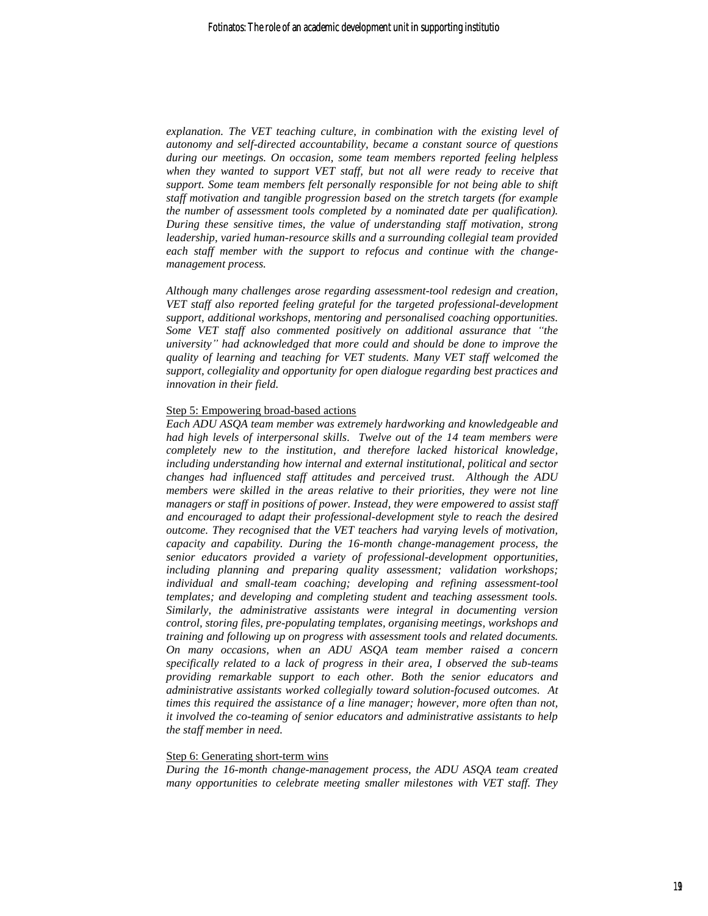*explanation. The VET teaching culture, in combination with the existing level of autonomy and self-directed accountability, became a constant source of questions during our meetings. On occasion, some team members reported feeling helpless*  when they wanted to support VET staff, but not all were ready to receive that *support. Some team members felt personally responsible for not being able to shift staff motivation and tangible progression based on the stretch targets (for example the number of assessment tools completed by a nominated date per qualification). During these sensitive times, the value of understanding staff motivation, strong leadership, varied human-resource skills and a surrounding collegial team provided each staff member with the support to refocus and continue with the changemanagement process.* 

*Although many challenges arose regarding assessment-tool redesign and creation, VET staff also reported feeling grateful for the targeted professional-development support, additional workshops, mentoring and personalised coaching opportunities. Some VET staff also commented positively on additional assurance that "the university" had acknowledged that more could and should be done to improve the quality of learning and teaching for VET students. Many VET staff welcomed the support, collegiality and opportunity for open dialogue regarding best practices and innovation in their field.* 

#### Step 5: Empowering broad-based actions

*Each ADU ASQA team member was extremely hardworking and knowledgeable and had high levels of interpersonal skills. Twelve out of the 14 team members were completely new to the institution, and therefore lacked historical knowledge, including understanding how internal and external institutional, political and sector changes had influenced staff attitudes and perceived trust. Although the ADU members were skilled in the areas relative to their priorities, they were not line managers or staff in positions of power. Instead, they were empowered to assist staff and encouraged to adapt their professional-development style to reach the desired outcome. They recognised that the VET teachers had varying levels of motivation, capacity and capability. During the 16-month change-management process, the senior educators provided a variety of professional-development opportunities, including planning and preparing quality assessment; validation workshops; individual and small-team coaching; developing and refining assessment-tool templates; and developing and completing student and teaching assessment tools. Similarly, the administrative assistants were integral in documenting version control, storing files, pre-populating templates, organising meetings, workshops and training and following up on progress with assessment tools and related documents. On many occasions, when an ADU ASQA team member raised a concern specifically related to a lack of progress in their area, I observed the sub-teams providing remarkable support to each other. Both the senior educators and administrative assistants worked collegially toward solution-focused outcomes. At times this required the assistance of a line manager; however, more often than not, it involved the co-teaming of senior educators and administrative assistants to help the staff member in need.* 

#### Step 6: Generating short-term wins

*During the 16-month change-management process, the ADU ASQA team created many opportunities to celebrate meeting smaller milestones with VET staff. They*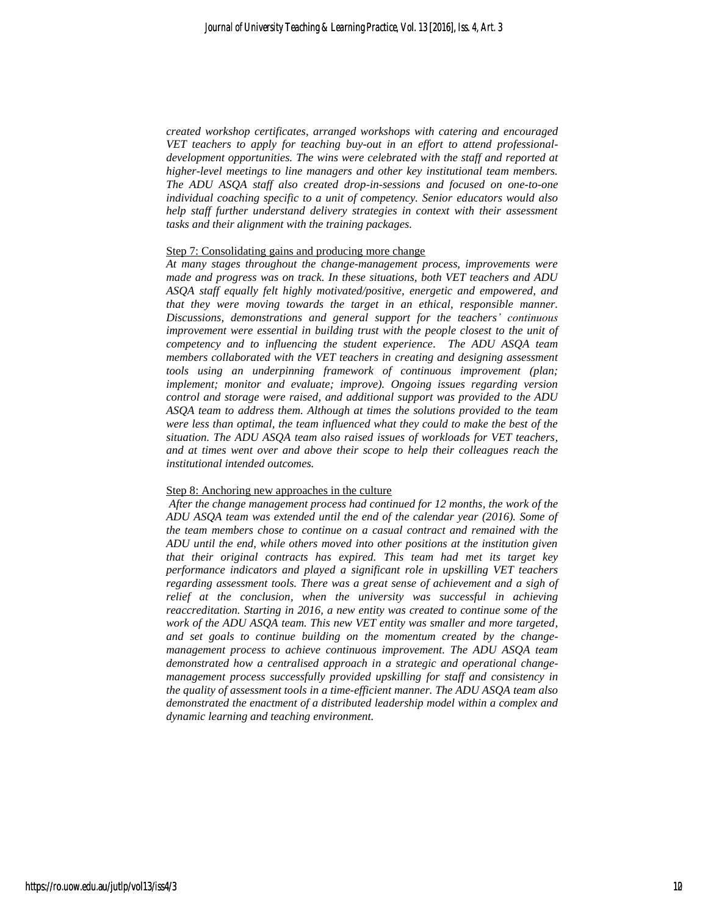*created workshop certificates, arranged workshops with catering and encouraged VET teachers to apply for teaching buy-out in an effort to attend professionaldevelopment opportunities. The wins were celebrated with the staff and reported at higher-level meetings to line managers and other key institutional team members. The ADU ASQA staff also created drop-in-sessions and focused on one-to-one individual coaching specific to a unit of competency. Senior educators would also help staff further understand delivery strategies in context with their assessment tasks and their alignment with the training packages.* 

#### Step 7: Consolidating gains and producing more change

*At many stages throughout the change-management process, improvements were made and progress was on track. In these situations, both VET teachers and ADU ASQA staff equally felt highly motivated/positive, energetic and empowered, and that they were moving towards the target in an ethical, responsible manner. Discussions, demonstrations and general support for the teachers' continuous improvement were essential in building trust with the people closest to the unit of competency and to influencing the student experience. The ADU ASQA team members collaborated with the VET teachers in creating and designing assessment tools using an underpinning framework of continuous improvement (plan; implement; monitor and evaluate; improve). Ongoing issues regarding version control and storage were raised, and additional support was provided to the ADU ASQA team to address them. Although at times the solutions provided to the team were less than optimal, the team influenced what they could to make the best of the situation. The ADU ASQA team also raised issues of workloads for VET teachers, and at times went over and above their scope to help their colleagues reach the institutional intended outcomes.* 

#### Step 8: Anchoring new approaches in the culture

*After the change management process had continued for 12 months, the work of the ADU ASQA team was extended until the end of the calendar year (2016). Some of the team members chose to continue on a casual contract and remained with the ADU until the end, while others moved into other positions at the institution given that their original contracts has expired. This team had met its target key performance indicators and played a significant role in upskilling VET teachers regarding assessment tools. There was a great sense of achievement and a sigh of relief at the conclusion, when the university was successful in achieving reaccreditation. Starting in 2016, a new entity was created to continue some of the work of the ADU ASQA team. This new VET entity was smaller and more targeted, and set goals to continue building on the momentum created by the changemanagement process to achieve continuous improvement. The ADU ASQA team demonstrated how a centralised approach in a strategic and operational changemanagement process successfully provided upskilling for staff and consistency in the quality of assessment tools in a time-efficient manner. The ADU ASQA team also demonstrated the enactment of a distributed leadership model within a complex and dynamic learning and teaching environment.*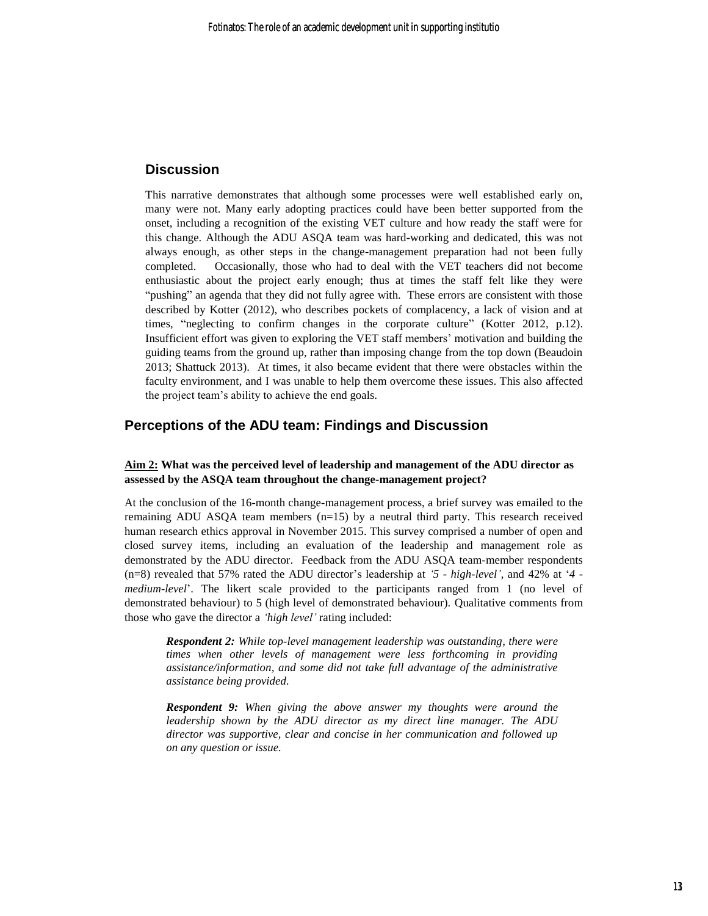## **Discussion**

This narrative demonstrates that although some processes were well established early on, many were not. Many early adopting practices could have been better supported from the onset, including a recognition of the existing VET culture and how ready the staff were for this change. Although the ADU ASQA team was hard-working and dedicated, this was not always enough, as other steps in the change-management preparation had not been fully completed. Occasionally, those who had to deal with the VET teachers did not become enthusiastic about the project early enough; thus at times the staff felt like they were "pushing" an agenda that they did not fully agree with. These errors are consistent with those described by Kotter (2012), who describes pockets of complacency, a lack of vision and at times, "neglecting to confirm changes in the corporate culture" (Kotter 2012, p.12). Insufficient effort was given to exploring the VET staff members' motivation and building the guiding teams from the ground up, rather than imposing change from the top down (Beaudoin 2013; Shattuck 2013). At times, it also became evident that there were obstacles within the faculty environment, and I was unable to help them overcome these issues. This also affected the project team's ability to achieve the end goals.

## **Perceptions of the ADU team: Findings and Discussion**

## **Aim 2: What was the perceived level of leadership and management of the ADU director as assessed by the ASQA team throughout the change-management project?**

At the conclusion of the 16-month change-management process, a brief survey was emailed to the remaining ADU ASQA team members  $(n=15)$  by a neutral third party. This research received human research ethics approval in November 2015. This survey comprised a number of open and closed survey items, including an evaluation of the leadership and management role as demonstrated by the ADU director. Feedback from the ADU ASQA team-member respondents (n=8) revealed that 57% rated the ADU director's leadership at *'5 - high-level'*, and 42% at '*4 medium-level*'. The likert scale provided to the participants ranged from 1 (no level of demonstrated behaviour) to 5 (high level of demonstrated behaviour). Qualitative comments from those who gave the director a *'high level'* rating included:

*Respondent 2: While top-level management leadership was outstanding, there were times when other levels of management were less forthcoming in providing assistance/information, and some did not take full advantage of the administrative assistance being provided.*

*Respondent 9: When giving the above answer my thoughts were around the leadership shown by the ADU director as my direct line manager. The ADU director was supportive, clear and concise in her communication and followed up on any question or issue.*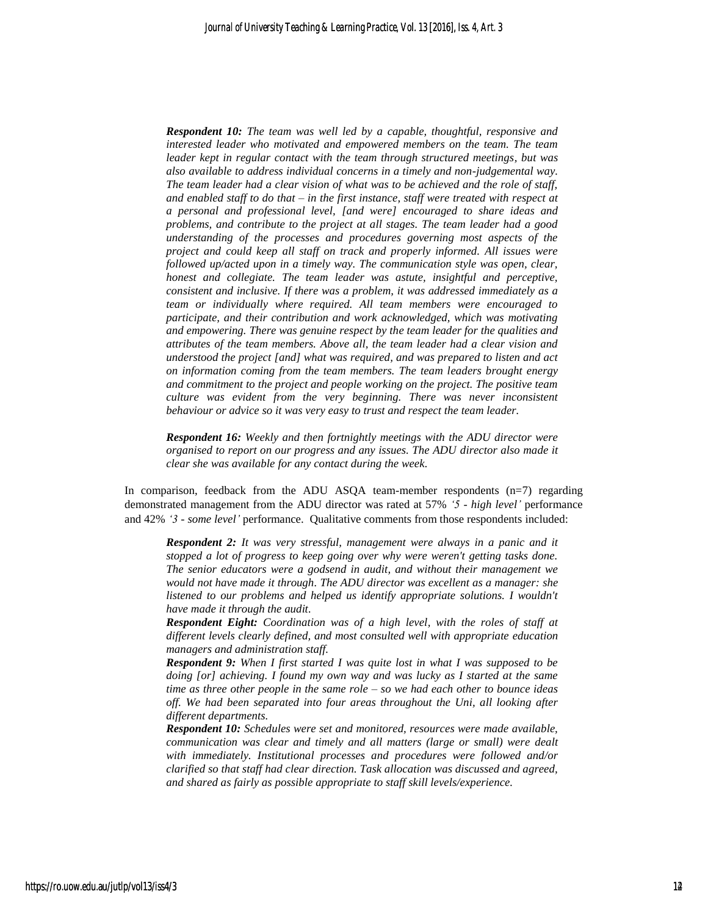*Respondent 10: The team was well led by a capable, thoughtful, responsive and interested leader who motivated and empowered members on the team. The team leader kept in regular contact with the team through structured meetings, but was also available to address individual concerns in a timely and non-judgemental way. The team leader had a clear vision of what was to be achieved and the role of staff, and enabled staff to do that – in the first instance, staff were treated with respect at a personal and professional level, [and were] encouraged to share ideas and problems, and contribute to the project at all stages. The team leader had a good understanding of the processes and procedures governing most aspects of the project and could keep all staff on track and properly informed. All issues were followed up/acted upon in a timely way. The communication style was open, clear, honest and collegiate. The team leader was astute, insightful and perceptive, consistent and inclusive. If there was a problem, it was addressed immediately as a team or individually where required. All team members were encouraged to participate, and their contribution and work acknowledged, which was motivating and empowering. There was genuine respect by the team leader for the qualities and attributes of the team members. Above all, the team leader had a clear vision and understood the project [and] what was required, and was prepared to listen and act on information coming from the team members. The team leaders brought energy and commitment to the project and people working on the project. The positive team culture was evident from the very beginning. There was never inconsistent behaviour or advice so it was very easy to trust and respect the team leader.*

*Respondent 16: Weekly and then fortnightly meetings with the ADU director were organised to report on our progress and any issues. The ADU director also made it clear she was available for any contact during the week.*

In comparison, feedback from the ADU ASQA team-member respondents  $(n=7)$  regarding demonstrated management from the ADU director was rated at 57% *'5 - high level'* performance and 42% *'3 - some level'* performance. Qualitative comments from those respondents included:

*Respondent 2: It was very stressful, management were always in a panic and it stopped a lot of progress to keep going over why were weren't getting tasks done. The senior educators were a godsend in audit, and without their management we would not have made it through. The ADU director was excellent as a manager: she listened to our problems and helped us identify appropriate solutions. I wouldn't have made it through the audit.*

*Respondent Eight: Coordination was of a high level, with the roles of staff at different levels clearly defined, and most consulted well with appropriate education managers and administration staff.*

*Respondent 9: When I first started I was quite lost in what I was supposed to be doing [or] achieving. I found my own way and was lucky as I started at the same time as three other people in the same role – so we had each other to bounce ideas off. We had been separated into four areas throughout the Uni, all looking after different departments.*

*Respondent 10: Schedules were set and monitored, resources were made available, communication was clear and timely and all matters (large or small) were dealt with immediately. Institutional processes and procedures were followed and/or clarified so that staff had clear direction. Task allocation was discussed and agreed, and shared as fairly as possible appropriate to staff skill levels/experience.*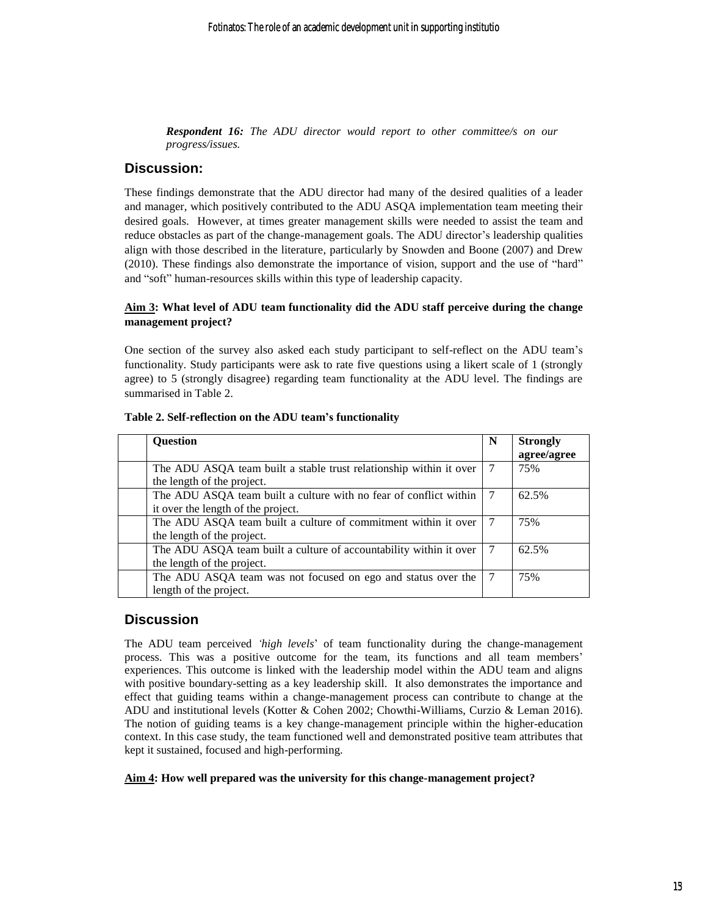*Respondent 16: The ADU director would report to other committee/s on our progress/issues.*

## **Discussion:**

These findings demonstrate that the ADU director had many of the desired qualities of a leader and manager, which positively contributed to the ADU ASQA implementation team meeting their desired goals. However, at times greater management skills were needed to assist the team and reduce obstacles as part of the change-management goals. The ADU director's leadership qualities align with those described in the literature, particularly by Snowden and Boone (2007) and Drew (2010). These findings also demonstrate the importance of vision, support and the use of "hard" and "soft" human-resources skills within this type of leadership capacity.

## **Aim 3: What level of ADU team functionality did the ADU staff perceive during the change management project?**

One section of the survey also asked each study participant to self-reflect on the ADU team's functionality. Study participants were ask to rate five questions using a likert scale of 1 (strongly agree) to 5 (strongly disagree) regarding team functionality at the ADU level. The findings are summarised in Table 2.

| <b>Ouestion</b>                                                    | N | <b>Strongly</b> |
|--------------------------------------------------------------------|---|-----------------|
|                                                                    |   | agree/agree     |
| The ADU ASQA team built a stable trust relationship within it over |   | 75%             |
| the length of the project.                                         |   |                 |
| The ADU ASQA team built a culture with no fear of conflict within  |   | 62.5%           |
| it over the length of the project.                                 |   |                 |
| The ADU ASQA team built a culture of commitment within it over     |   | 75%             |
| the length of the project.                                         |   |                 |
| The ADU ASQA team built a culture of accountability within it over |   | 62.5%           |
| the length of the project.                                         |   |                 |
| The ADU ASQA team was not focused on ego and status over the       |   | 75%             |
| length of the project.                                             |   |                 |

#### **Table 2. Self-reflection on the ADU team's functionality**

## **Discussion**

The ADU team perceived *'high levels*' of team functionality during the change-management process. This was a positive outcome for the team, its functions and all team members' experiences. This outcome is linked with the leadership model within the ADU team and aligns with positive boundary-setting as a key leadership skill. It also demonstrates the importance and effect that guiding teams within a change-management process can contribute to change at the ADU and institutional levels (Kotter & Cohen 2002; Chowthi-Williams, Curzio & Leman 2016). The notion of guiding teams is a key change-management principle within the higher-education context. In this case study, the team functioned well and demonstrated positive team attributes that kept it sustained, focused and high-performing.

#### **Aim 4: How well prepared was the university for this change-management project?**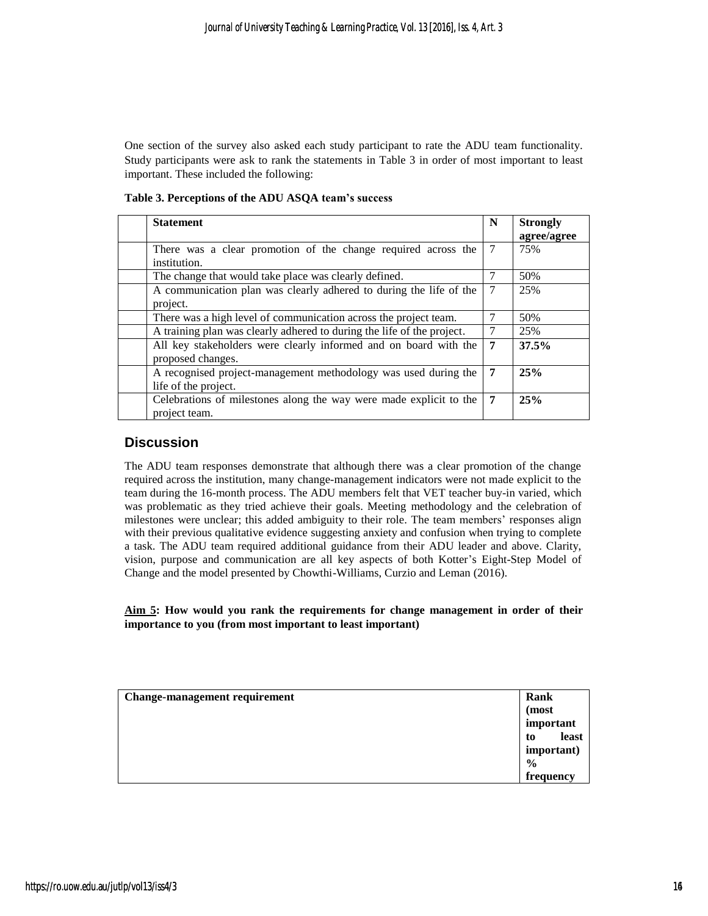One section of the survey also asked each study participant to rate the ADU team functionality. Study participants were ask to rank the statements in Table 3 in order of most important to least important. These included the following:

**Table 3. Perceptions of the ADU ASQA team's success** 

| <b>Statement</b>                                                       | N      | <b>Strongly</b> |
|------------------------------------------------------------------------|--------|-----------------|
|                                                                        |        | agree/agree     |
| There was a clear promotion of the change required across the          | 7      | 75%             |
| institution.                                                           |        |                 |
| The change that would take place was clearly defined.                  | 7      | 50%             |
| A communication plan was clearly adhered to during the life of the     | $\tau$ | 25%             |
| project.                                                               |        |                 |
| There was a high level of communication across the project team.       |        | 50%             |
| A training plan was clearly adhered to during the life of the project. | 7      | 25%             |
| All key stakeholders were clearly informed and on board with the       | 7      | 37.5%           |
| proposed changes.                                                      |        |                 |
| A recognised project-management methodology was used during the        | 7      | 25%             |
| life of the project.                                                   |        |                 |
| Celebrations of milestones along the way were made explicit to the     | 7      | 25%             |
| project team.                                                          |        |                 |

## **Discussion**

The ADU team responses demonstrate that although there was a clear promotion of the change required across the institution, many change-management indicators were not made explicit to the team during the 16-month process. The ADU members felt that VET teacher buy-in varied, which was problematic as they tried achieve their goals. Meeting methodology and the celebration of milestones were unclear; this added ambiguity to their role. The team members' responses align with their previous qualitative evidence suggesting anxiety and confusion when trying to complete a task. The ADU team required additional guidance from their ADU leader and above. Clarity, vision, purpose and communication are all key aspects of both Kotter's Eight-Step Model of Change and the model presented by Chowthi-Williams, Curzio and Leman (2016).

## **Aim 5: How would you rank the requirements for change management in order of their importance to you (from most important to least important)**

| <b>Change-management requirement</b> | Rank          |
|--------------------------------------|---------------|
|                                      | (most         |
|                                      | important     |
|                                      | least<br>to   |
|                                      | important)    |
|                                      | $\frac{6}{9}$ |
|                                      | frequency     |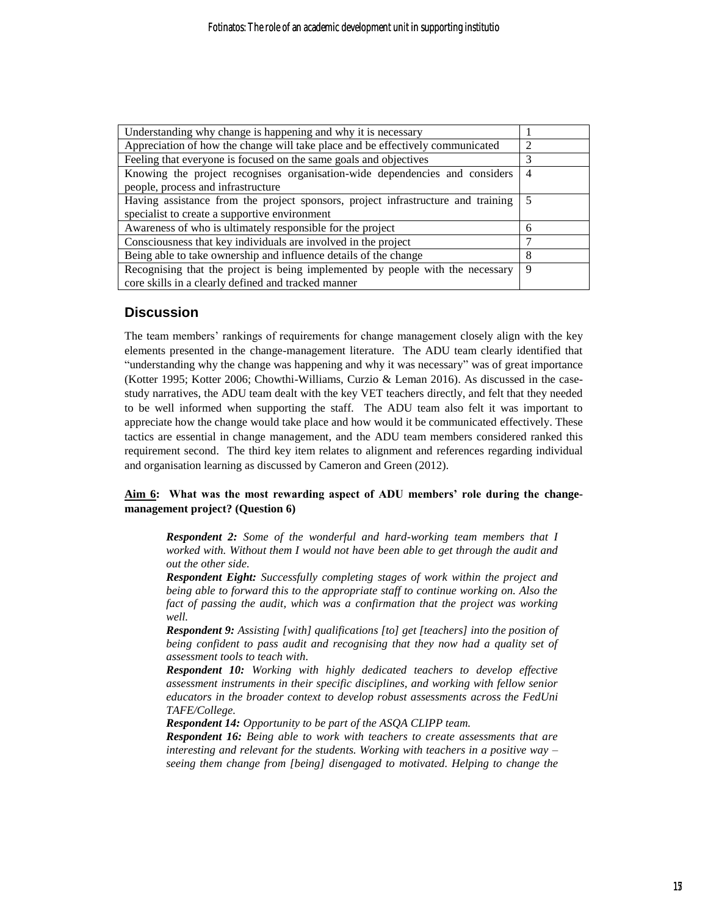| Understanding why change is happening and why it is necessary                    |   |  |
|----------------------------------------------------------------------------------|---|--|
| Appreciation of how the change will take place and be effectively communicated   |   |  |
| Feeling that everyone is focused on the same goals and objectives                |   |  |
| Knowing the project recognises organisation-wide dependencies and considers      |   |  |
| people, process and infrastructure                                               |   |  |
| Having assistance from the project sponsors, project infrastructure and training |   |  |
| specialist to create a supportive environment                                    |   |  |
| Awareness of who is ultimately responsible for the project                       | 6 |  |
| Consciousness that key individuals are involved in the project                   |   |  |
| Being able to take ownership and influence details of the change                 | 8 |  |
| Recognising that the project is being implemented by people with the necessary   |   |  |
| core skills in a clearly defined and tracked manner                              |   |  |

## **Discussion**

The team members' rankings of requirements for change management closely align with the key elements presented in the change-management literature. The ADU team clearly identified that "understanding why the change was happening and why it was necessary" was of great importance (Kotter 1995; Kotter 2006; Chowthi-Williams, Curzio & Leman 2016). As discussed in the casestudy narratives, the ADU team dealt with the key VET teachers directly, and felt that they needed to be well informed when supporting the staff. The ADU team also felt it was important to appreciate how the change would take place and how would it be communicated effectively. These tactics are essential in change management, and the ADU team members considered ranked this requirement second. The third key item relates to alignment and references regarding individual and organisation learning as discussed by Cameron and Green (2012).

## **Aim 6: What was the most rewarding aspect of ADU members' role during the changemanagement project? (Question 6)**

*Respondent 2: Some of the wonderful and hard-working team members that I worked with. Without them I would not have been able to get through the audit and out the other side.*

*Respondent Eight: Successfully completing stages of work within the project and being able to forward this to the appropriate staff to continue working on. Also the fact of passing the audit, which was a confirmation that the project was working well.*

*Respondent 9: Assisting [with] qualifications [to] get [teachers] into the position of being confident to pass audit and recognising that they now had a quality set of assessment tools to teach with.*

*Respondent 10: Working with highly dedicated teachers to develop effective assessment instruments in their specific disciplines, and working with fellow senior educators in the broader context to develop robust assessments across the FedUni TAFE/College.*

*Respondent 14: Opportunity to be part of the ASQA CLIPP team.*

*Respondent 16: Being able to work with teachers to create assessments that are interesting and relevant for the students. Working with teachers in a positive way – seeing them change from [being] disengaged to motivated. Helping to change the*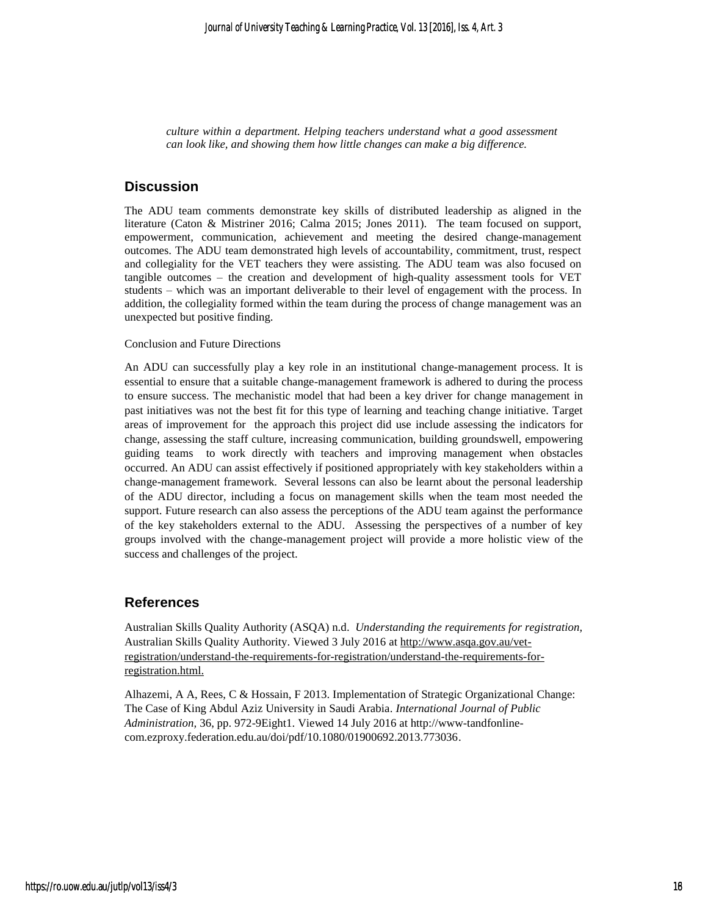*culture within a department. Helping teachers understand what a good assessment can look like, and showing them how little changes can make a big difference.*

## **Discussion**

The ADU team comments demonstrate key skills of distributed leadership as aligned in the literature (Caton & Mistriner 2016; Calma 2015; Jones 2011). The team focused on support, empowerment, communication, achievement and meeting the desired change-management outcomes. The ADU team demonstrated high levels of accountability, commitment, trust, respect and collegiality for the VET teachers they were assisting. The ADU team was also focused on tangible outcomes – the creation and development of high-quality assessment tools for VET students – which was an important deliverable to their level of engagement with the process. In addition, the collegiality formed within the team during the process of change management was an unexpected but positive finding.

#### Conclusion and Future Directions

An ADU can successfully play a key role in an institutional change-management process. It is essential to ensure that a suitable change-management framework is adhered to during the process to ensure success. The mechanistic model that had been a key driver for change management in past initiatives was not the best fit for this type of learning and teaching change initiative. Target areas of improvement for the approach this project did use include assessing the indicators for change, assessing the staff culture, increasing communication, building groundswell, empowering guiding teams to work directly with teachers and improving management when obstacles occurred. An ADU can assist effectively if positioned appropriately with key stakeholders within a change-management framework. Several lessons can also be learnt about the personal leadership of the ADU director, including a focus on management skills when the team most needed the support. Future research can also assess the perceptions of the ADU team against the performance of the key stakeholders external to the ADU. Assessing the perspectives of a number of key groups involved with the change-management project will provide a more holistic view of the success and challenges of the project.

## **References**

Australian Skills Quality Authority (ASQA) n.d. *Understanding the requirements for registration,*  Australian Skills Quality Authority. Viewed 3 July 2016 at [http://www.asqa.gov.au/vet](http://www.asqa.gov.au/vet-registration/understand-the-requirements-for-registration/understand-the-requirements-for-registration.html)[registration/understand-the-requirements-for-registration/understand-the-requirements-for](http://www.asqa.gov.au/vet-registration/understand-the-requirements-for-registration/understand-the-requirements-for-registration.html)[registration.html.](http://www.asqa.gov.au/vet-registration/understand-the-requirements-for-registration/understand-the-requirements-for-registration.html)

Alhazemi, A A, Rees, C & Hossain, F 2013. Implementation of Strategic Organizational Change: The Case of King Abdul Aziz University in Saudi Arabia. *International Journal of Public Administration,* 36, pp. 972-9Eight1. Viewed 14 July 2016 at [http://www-tandfonline](http://www-tandfonline-com.ezproxy.federation.edu.au/doi/pdf/10.1080/01900692.2013.773036)[com.ezproxy.federation.edu.au/doi/pdf/10.1080/01900692.2013.773036.](http://www-tandfonline-com.ezproxy.federation.edu.au/doi/pdf/10.1080/01900692.2013.773036)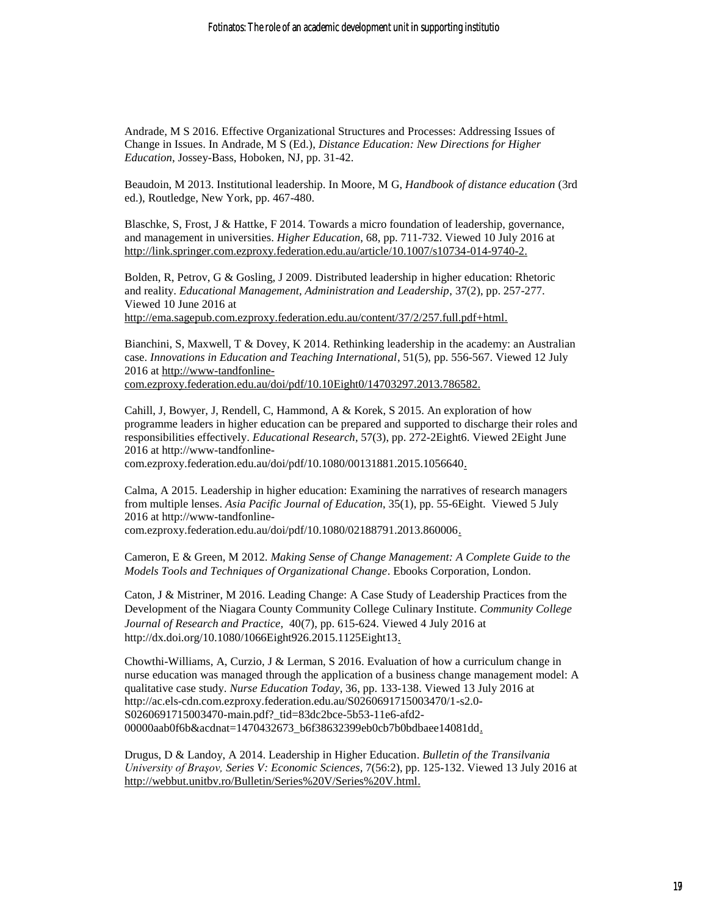Andrade, M S 2016. Effective Organizational Structures and Processes: Addressing Issues of Change in Issues. In Andrade, M S (Ed.), *Distance Education: New Directions for Higher Education*, Jossey-Bass, Hoboken, NJ, pp. 31-42.

Beaudoin, M 2013. Institutional leadership. In Moore, M G, *Handbook of distance education* (3rd ed.), Routledge, New York, pp. 467-480.

Blaschke, S, Frost, J & Hattke, F 2014. Towards a micro foundation of leadership, governance, and management in universities. *Higher Education*, 68, pp. 711-732. Viewed 10 July 2016 at [http://link.springer.com.ezproxy.federation.edu.au/article/10.1007/s10734-014-9740-2.](http://link.springer.com.ezproxy.federation.edu.au/article/10.1007/s10734-014-9740-2)

Bolden, R, Petrov, G & Gosling, J 2009. Distributed leadership in higher education: Rhetoric and reality. *Educational Management, Administration and Leadership*, 37(2), pp. 257-277. Viewed 10 June 2016 at

[http://ema.sagepub.com.ezproxy.federation.edu.au/content/37/2/257.full.pdf+html.](http://ema.sagepub.com.ezproxy.federation.edu.au/content/37/2/257.full.pdf+html)

Bianchini, S, Maxwell, T & Dovey, K 2014. Rethinking leadership in the academy: an Australian case. *Innovations in Education and Teaching International*, 51(5), pp. 556-567. Viewed 12 July 2016 at http://www-tandfonlinecom.ezproxy.federation.edu.au/doi/pdf/10.10Eight0/14703297.2013.786582.

Cahill, J, Bowyer, J, Rendell, C, Hammond, A & Korek, S 2015. An exploration of how programme leaders in higher education can be prepared and supported to discharge their roles and responsibilities effectively. *Educational Research*, 57(3), pp. 272-2Eight6. Viewed 2Eight June 2016 at [http://www-tandfonline-](http://www-tandfonline-com.ezproxy.federation.edu.au/doi/pdf/10.1080/00131881.2015.1056640)

[com.ezproxy.federation.edu.au/doi/pdf/10.1080/00131881.2015.1056640.](http://www-tandfonline-com.ezproxy.federation.edu.au/doi/pdf/10.1080/00131881.2015.1056640)

Calma, A 2015. Leadership in higher education: Examining the narratives of research managers from multiple lenses. *Asia Pacific Journal of Education*, 35(1), pp. 55-6Eight. Viewed 5 July 2016 at [http://www-tandfonline-](http://www-tandfonline-com.ezproxy.federation.edu.au/doi/pdf/10.1080/02188791.2013.860006)

[com.ezproxy.federation.edu.au/doi/pdf/10.1080/02188791.2013.860006.](http://www-tandfonline-com.ezproxy.federation.edu.au/doi/pdf/10.1080/02188791.2013.860006)

Cameron, E & Green, M 2012. *[Making Sense of Change Management: A Complete Guide to the](http://primoapac01.hosted.exlibrisgroup.com/primo_library/libweb/action/display.do?tabs=detailsTab&ct=display&fn=search&doc=UB_MILLENNIUM.b17150164&indx=1&recIds=UB_MILLENNIUM.b17150164&recIdxs=0&elementId=0&renderMode=poppedOut&displayMode=full&frbrVersion=&frbrSourceidDisplay=UB_MILLENNIUM&frbg=450417633&frbrIssnDisplay=&lastPagIndx=&frbrSrt=date&frbrEissnDisplay=9780749464356&dscnt=0&frbrRecordsSource=Primo+Local&vid=UB&cs=frb&fctV=450417633&lastPag=&rfnGrp=frbr&frbrJtitleDisplay=&fctN=facet_frbrgroupid&vl(freeText0)=Cameron%2C%20E%20%26%20Green%2C%20M%20%282012%29.%20Making%20Sense%20of%20Change%20Management%3A%20A%20Complete%20Guide%20to%20the%20Models%20Tools%20and%20Techniques%20of%20Organizational%20Change.%20Electronic%20ISBN%3A%209780749464363.%20Available%20from%3A%20Ebook%20cooperation%3BLondon%3B%20Kogan%20Page.%20&dstmp=1469733272992)  [Models Tools and Techniques of Organizational Change](http://primoapac01.hosted.exlibrisgroup.com/primo_library/libweb/action/display.do?tabs=detailsTab&ct=display&fn=search&doc=UB_MILLENNIUM.b17150164&indx=1&recIds=UB_MILLENNIUM.b17150164&recIdxs=0&elementId=0&renderMode=poppedOut&displayMode=full&frbrVersion=&frbrSourceidDisplay=UB_MILLENNIUM&frbg=450417633&frbrIssnDisplay=&lastPagIndx=&frbrSrt=date&frbrEissnDisplay=9780749464356&dscnt=0&frbrRecordsSource=Primo+Local&vid=UB&cs=frb&fctV=450417633&lastPag=&rfnGrp=frbr&frbrJtitleDisplay=&fctN=facet_frbrgroupid&vl(freeText0)=Cameron%2C%20E%20%26%20Green%2C%20M%20%282012%29.%20Making%20Sense%20of%20Change%20Management%3A%20A%20Complete%20Guide%20to%20the%20Models%20Tools%20and%20Techniques%20of%20Organizational%20Change.%20Electronic%20ISBN%3A%209780749464363.%20Available%20from%3A%20Ebook%20cooperation%3BLondon%3B%20Kogan%20Page.%20&dstmp=1469733272992)*. Ebooks Corporation, London.

Caton, J & Mistriner, M 2016. Leading Change: A Case Study of Leadership Practices from the Development of the Niagara County Community College Culinary Institute. *[Community College](http://primoapac01.hosted.exlibrisgroup.com/primo_library/libweb/action/display.do?tabs=detailsTab&ct=display&fn=search&doc=UB_MILLENNIUM.b17150164&indx=1&recIds=UB_MILLENNIUM.b17150164&recIdxs=0&elementId=0&renderMode=poppedOut&displayMode=full&frbrVersion=&frbrSourceidDisplay=UB_MILLENNIUM&frbg=450417633&frbrIssnDisplay=&lastPagIndx=&frbrSrt=date&frbrEissnDisplay=9780749464356&dscnt=0&frbrRecordsSource=Primo+Local&vid=UB&cs=frb&fctV=450417633&lastPag=&rfnGrp=frbr&frbrJtitleDisplay=&fctN=facet_frbrgroupid&vl(freeText0)=Cameron%2C%20E%20%26%20Green%2C%20M%20%282012%29.%20Making%20Sense%20of%20Change%20Management%3A%20A%20Complete%20Guide%20to%20the%20Models%20Tools%20and%20Techniques%20of%20Organizational%20Change.%20Electronic%20ISBN%3A%209780749464363.%20Available%20from%3A%20Ebook%20cooperation%3BLondon%3B%20Kogan%20Page.%20&dstmp=1469733272992)  [Journal of Research and Practice,](http://primoapac01.hosted.exlibrisgroup.com/primo_library/libweb/action/display.do?tabs=detailsTab&ct=display&fn=search&doc=UB_MILLENNIUM.b17150164&indx=1&recIds=UB_MILLENNIUM.b17150164&recIdxs=0&elementId=0&renderMode=poppedOut&displayMode=full&frbrVersion=&frbrSourceidDisplay=UB_MILLENNIUM&frbg=450417633&frbrIssnDisplay=&lastPagIndx=&frbrSrt=date&frbrEissnDisplay=9780749464356&dscnt=0&frbrRecordsSource=Primo+Local&vid=UB&cs=frb&fctV=450417633&lastPag=&rfnGrp=frbr&frbrJtitleDisplay=&fctN=facet_frbrgroupid&vl(freeText0)=Cameron%2C%20E%20%26%20Green%2C%20M%20%282012%29.%20Making%20Sense%20of%20Change%20Management%3A%20A%20Complete%20Guide%20to%20the%20Models%20Tools%20and%20Techniques%20of%20Organizational%20Change.%20Electronic%20ISBN%3A%209780749464363.%20Available%20from%3A%20Ebook%20cooperation%3BLondon%3B%20Kogan%20Page.%20&dstmp=1469733272992)* 40(7), pp. 615-624. Viewed 4 July 2016 at [http://dx.doi.org/10.1080/1066Eight926.2015.1125Eight13.](http://dx.doi.org/10.1080/1066Eight926.2015.1125Eight13)

Chowthi-Williams, A, Curzio, J & Lerman, S 2016. Evaluation of how a curriculum change in nurse education was managed through the application of a business change management model: A qualitative case study. *Nurse Education Today*, 36, pp. 133-138. Viewed 13 July 2016 at [http://ac.els-cdn.com.ezproxy.federation.edu.au/S0260691715003470/1-s2.0-](http://ac.els-cdn.com.ezproxy.federation.edu.au/S0260691715003470/1-s2.0-S0260691715003470-main.pdf?_tid=83dc2bce-5b53-11e6-afd2-00000aab0f6b&acdnat=1470432673_b6f38632399eb0cb7b0bdbaee14081dd) [S0260691715003470-main.pdf?\\_tid=83dc2bce-5b53-11e6-afd2-](http://ac.els-cdn.com.ezproxy.federation.edu.au/S0260691715003470/1-s2.0-S0260691715003470-main.pdf?_tid=83dc2bce-5b53-11e6-afd2-00000aab0f6b&acdnat=1470432673_b6f38632399eb0cb7b0bdbaee14081dd) [00000aab0f6b&acdnat=1470432673\\_b6f38632399eb0cb7b0bdbaee14081dd.](http://ac.els-cdn.com.ezproxy.federation.edu.au/S0260691715003470/1-s2.0-S0260691715003470-main.pdf?_tid=83dc2bce-5b53-11e6-afd2-00000aab0f6b&acdnat=1470432673_b6f38632399eb0cb7b0bdbaee14081dd)

Drugus, D & Landoy, A 2014. Leadership in Higher Education. *Bulletin of the Transilvania University of Braşov, Series V: Economic Sciences,* 7(56:2), pp. 125-132. Viewed 13 July 2016 at [http://webbut.unitbv.ro/Bulletin/Series%20V/Series%20V.html.](http://webbut.unitbv.ro/Bulletin/Series%20V/Series%20V.html)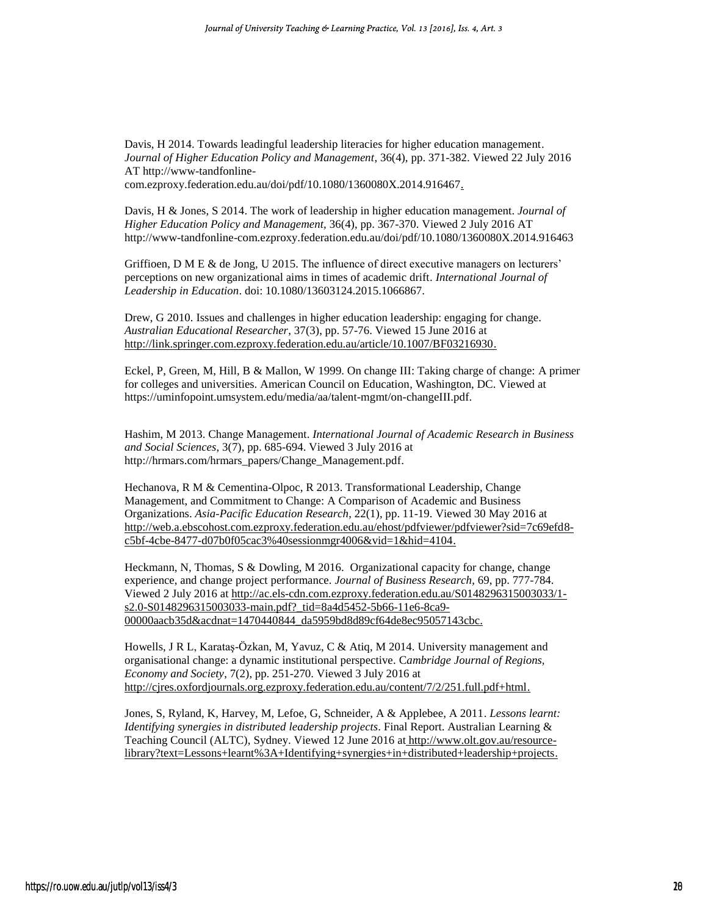Davis, H 2014. Towards leadingful leadership literacies for higher education management. *Journal of Higher Education Policy and Management*, 36(4), pp. 371-382. Viewed 22 July 2016 AT [http://www-tandfonline](http://www-tandfonline-com.ezproxy.federation.edu.au/doi/pdf/10.1080/1360080X.2014.916467)[com.ezproxy.federation.edu.au/doi/pdf/10.1080/1360080X.2014.916467.](http://www-tandfonline-com.ezproxy.federation.edu.au/doi/pdf/10.1080/1360080X.2014.916467)

Davis, H & Jones, S 2014. The work of leadership in higher education management. *Journal of Higher Education Policy and Management,* 36(4), pp. 367-370. Viewed 2 July 2016 AT <http://www-tandfonline-com.ezproxy.federation.edu.au/doi/pdf/10.1080/1360080X.2014.916463>

Griffioen, D M E & de Jong, U 2015. The influence of direct executive managers on lecturers' perceptions on new organizational aims in times of academic drift. *International Journal of Leadership in Education*. doi: 10.1080/13603124.2015.1066867.

Drew, G 2010. Issues and challenges in higher education leadership: engaging for change. *Australian Educational Researcher*, 37(3), pp. 57-76. Viewed 15 June 2016 at [http://link.springer.com.ezproxy.federation.edu.au/article/10.1007/BF03216930.](http://link.springer.com.ezproxy.federation.edu.au/article/10.1007/BF03216930)

Eckel, P, Green, M, Hill, B & Mallon, W 1999. On change III: Taking charge of change: A primer for colleges and universities. American Council on Education, Washington, DC. Viewed at [https://uminfopoint.umsystem.edu/media/aa/talent-mgmt/on-changeIII.pdf.](https://uminfopoint.umsystem.edu/media/aa/talent-mgmt/on-changeIII.pdf)

Hashim, M 2013. Change Management. *International Journal of Academic Research in Business and Social Sciences*, 3(7), pp. 685-694. Viewed 3 July 2016 at [http://hrmars.com/hrmars\\_papers/Change\\_Management.pdf.](http://hrmars.com/hrmars_papers/Change_Management.pdf)

Hechanova, R M & Cementina-Olpoc, R 2013. Transformational Leadership, Change Management, and Commitment to Change: A Comparison of Academic and Business Organizations. *Asia-Pacific Education Research*, 22(1), pp. 11-19. Viewed 30 May 2016 at [http://web.a.ebscohost.com.ezproxy.federation.edu.au/ehost/pdfviewer/pdfviewer?sid=7c69efd8](http://web.a.ebscohost.com.ezproxy.federation.edu.au/ehost/pdfviewer/pdfviewer?sid=7c69efd8-c5bf-4cbe-8477-d07b0f05cac3%40sessionmgr4006&vid=1&hid=4104) [c5bf-4cbe-8477-d07b0f05cac3%40sessionmgr4006&vid=1&hid=4104.](http://web.a.ebscohost.com.ezproxy.federation.edu.au/ehost/pdfviewer/pdfviewer?sid=7c69efd8-c5bf-4cbe-8477-d07b0f05cac3%40sessionmgr4006&vid=1&hid=4104)

Heckmann, N, Thomas, S & Dowling, M 2016. Organizational capacity for change, change experience, and change project performance. *Journal of Business Research*, 69, pp. 777-784. Viewed 2 July 2016 at [http://ac.els-cdn.com.ezproxy.federation.edu.au/S0148296315003033/1](http://ac.els-cdn.com.ezproxy.federation.edu.au/S0148296315003033/1-s2.0-S0148296315003033-main.pdf?_tid=8a4d5452-5b66-11e6-8ca9-00000aacb35d&acdnat=1470440844_da5959bd8d89cf64de8ec95057143cbc) [s2.0-S0148296315003033-main.pdf?\\_tid=8a4d5452-5b66-11e6-8ca9-](http://ac.els-cdn.com.ezproxy.federation.edu.au/S0148296315003033/1-s2.0-S0148296315003033-main.pdf?_tid=8a4d5452-5b66-11e6-8ca9-00000aacb35d&acdnat=1470440844_da5959bd8d89cf64de8ec95057143cbc) [00000aacb35d&acdnat=1470440844\\_da5959bd8d89cf64de8ec95057143cbc.](http://ac.els-cdn.com.ezproxy.federation.edu.au/S0148296315003033/1-s2.0-S0148296315003033-main.pdf?_tid=8a4d5452-5b66-11e6-8ca9-00000aacb35d&acdnat=1470440844_da5959bd8d89cf64de8ec95057143cbc)

Howells, J R L, Karataş-Özkan, M, Yavuz, C & Atiq, M 2014. University management and organisational change: a dynamic institutional perspective. C*ambridge Journal of Regions, Economy and Society*, 7(2), pp. 251-270. Viewed 3 July 2016 at [http://cjres.oxfordjournals.org.ezproxy.federation.edu.au/content/7/2/251.full.pdf+html.](http://cjres.oxfordjournals.org.ezproxy.federation.edu.au/content/7/2/251.full.pdf+html)

Jones, S, Ryland, K, Harvey, M, Lefoe, G, Schneider, A & Applebee, A 2011. *Lessons learnt: Identifying synergies in distributed leadership projects*. Final Report. Australian Learning & Teaching Council (ALTC), Sydney. Viewed 12 June 2016 at [http://www.olt.gov.au/resource](http://www.olt.gov.au/resource-library?text=Lessons+learnt%3A+Identifying+synergies+in+distributed+leadership+projects)[library?text=Lessons+learnt%3A+Identifying+synergies+in+distributed+leadership+projects.](http://www.olt.gov.au/resource-library?text=Lessons+learnt%3A+Identifying+synergies+in+distributed+leadership+projects)